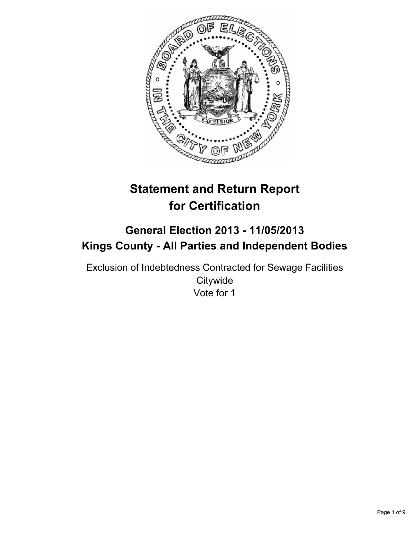

# **Statement and Return Report for Certification**

## **General Election 2013 - 11/05/2013 Kings County - All Parties and Independent Bodies**

Exclusion of Indebtedness Contracted for Sewage Facilities **Citywide** Vote for 1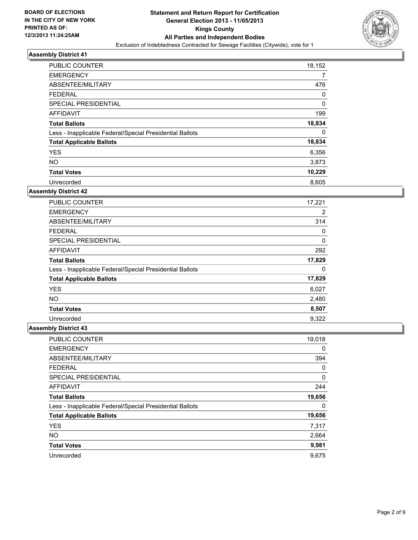

| <b>PUBLIC COUNTER</b>                                    | 18,152 |
|----------------------------------------------------------|--------|
| <b>EMERGENCY</b>                                         | 7      |
| ABSENTEE/MILITARY                                        | 476    |
| <b>FEDERAL</b>                                           | 0      |
| SPECIAL PRESIDENTIAL                                     | 0      |
| AFFIDAVIT                                                | 199    |
| <b>Total Ballots</b>                                     | 18,834 |
| Less - Inapplicable Federal/Special Presidential Ballots | 0      |
| <b>Total Applicable Ballots</b>                          | 18,834 |
| <b>YES</b>                                               | 6,356  |
| <b>NO</b>                                                | 3,873  |
| <b>Total Votes</b>                                       | 10,229 |
| Unrecorded                                               | 8,605  |

### **Assembly District 42**

| PUBLIC COUNTER                                           | 17,221 |
|----------------------------------------------------------|--------|
| <b>EMERGENCY</b>                                         | 2      |
| ABSENTEE/MILITARY                                        | 314    |
| <b>FEDERAL</b>                                           | 0      |
| <b>SPECIAL PRESIDENTIAL</b>                              | 0      |
| <b>AFFIDAVIT</b>                                         | 292    |
| <b>Total Ballots</b>                                     | 17,829 |
| Less - Inapplicable Federal/Special Presidential Ballots | 0      |
| <b>Total Applicable Ballots</b>                          | 17,829 |
| <b>YES</b>                                               | 6,027  |
| <b>NO</b>                                                | 2,480  |
| <b>Total Votes</b>                                       | 8,507  |
| Unrecorded                                               | 9.322  |

| PUBLIC COUNTER                                           | 19,018 |
|----------------------------------------------------------|--------|
| <b>EMERGENCY</b>                                         | 0      |
| ABSENTEE/MILITARY                                        | 394    |
| <b>FEDERAL</b>                                           | 0      |
| SPECIAL PRESIDENTIAL                                     | 0      |
| <b>AFFIDAVIT</b>                                         | 244    |
| <b>Total Ballots</b>                                     | 19,656 |
| Less - Inapplicable Federal/Special Presidential Ballots | 0      |
| <b>Total Applicable Ballots</b>                          | 19,656 |
| <b>YES</b>                                               | 7,317  |
| <b>NO</b>                                                | 2,664  |
| <b>Total Votes</b>                                       | 9,981  |
| Unrecorded                                               | 9,675  |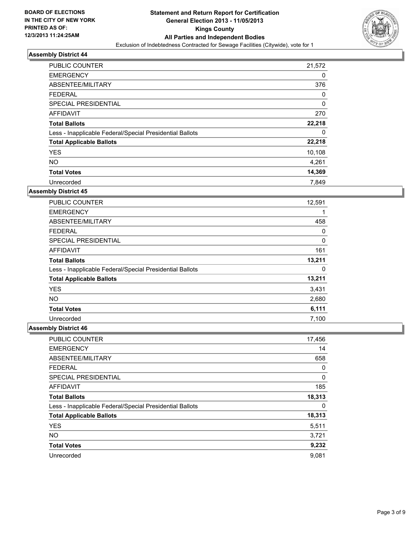

| <b>PUBLIC COUNTER</b>                                    | 21,572      |
|----------------------------------------------------------|-------------|
| <b>EMERGENCY</b>                                         | 0           |
| ABSENTEE/MILITARY                                        | 376         |
| <b>FEDERAL</b>                                           | 0           |
| SPECIAL PRESIDENTIAL                                     | $\mathbf 0$ |
| AFFIDAVIT                                                | 270         |
| <b>Total Ballots</b>                                     | 22,218      |
| Less - Inapplicable Federal/Special Presidential Ballots | 0           |
| <b>Total Applicable Ballots</b>                          | 22,218      |
| <b>YES</b>                                               | 10,108      |
| <b>NO</b>                                                | 4,261       |
| <b>Total Votes</b>                                       | 14,369      |
| Unrecorded                                               | 7.849       |

### **Assembly District 45**

| <b>PUBLIC COUNTER</b>                                    | 12,591 |
|----------------------------------------------------------|--------|
| <b>EMERGENCY</b>                                         | 1      |
| ABSENTEE/MILITARY                                        | 458    |
| <b>FEDERAL</b>                                           | 0      |
| <b>SPECIAL PRESIDENTIAL</b>                              | 0      |
| AFFIDAVIT                                                | 161    |
| <b>Total Ballots</b>                                     | 13,211 |
| Less - Inapplicable Federal/Special Presidential Ballots | 0      |
| <b>Total Applicable Ballots</b>                          | 13,211 |
| <b>YES</b>                                               | 3,431  |
| <b>NO</b>                                                | 2,680  |
| <b>Total Votes</b>                                       | 6,111  |
| Unrecorded                                               | 7,100  |

| PUBLIC COUNTER                                           | 17,456 |
|----------------------------------------------------------|--------|
| <b>EMERGENCY</b>                                         | 14     |
| ABSENTEE/MILITARY                                        | 658    |
| <b>FEDERAL</b>                                           | 0      |
| SPECIAL PRESIDENTIAL                                     | 0      |
| <b>AFFIDAVIT</b>                                         | 185    |
| <b>Total Ballots</b>                                     | 18,313 |
| Less - Inapplicable Federal/Special Presidential Ballots | 0      |
| <b>Total Applicable Ballots</b>                          | 18,313 |
| <b>YES</b>                                               | 5,511  |
| <b>NO</b>                                                | 3,721  |
| <b>Total Votes</b>                                       | 9,232  |
| Unrecorded                                               | 9,081  |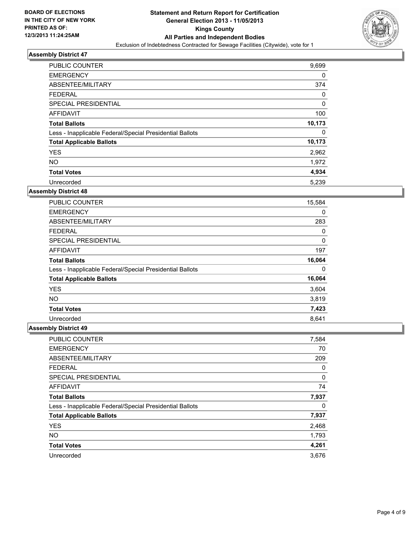

| PUBLIC COUNTER                                           | 9,699  |
|----------------------------------------------------------|--------|
| <b>EMERGENCY</b>                                         | 0      |
| ABSENTEE/MILITARY                                        | 374    |
| <b>FEDERAL</b>                                           | 0      |
| SPECIAL PRESIDENTIAL                                     | 0      |
| AFFIDAVIT                                                | 100    |
| <b>Total Ballots</b>                                     | 10,173 |
| Less - Inapplicable Federal/Special Presidential Ballots | 0      |
| <b>Total Applicable Ballots</b>                          | 10,173 |
| <b>YES</b>                                               | 2,962  |
| <b>NO</b>                                                | 1,972  |
| <b>Total Votes</b>                                       | 4,934  |
| Unrecorded                                               | 5,239  |

### **Assembly District 48**

| <b>PUBLIC COUNTER</b>                                    | 15,584 |
|----------------------------------------------------------|--------|
| <b>EMERGENCY</b>                                         | 0      |
| ABSENTEE/MILITARY                                        | 283    |
| <b>FEDERAL</b>                                           | 0      |
| <b>SPECIAL PRESIDENTIAL</b>                              | 0      |
| AFFIDAVIT                                                | 197    |
| <b>Total Ballots</b>                                     | 16,064 |
| Less - Inapplicable Federal/Special Presidential Ballots | 0      |
| <b>Total Applicable Ballots</b>                          | 16,064 |
| <b>YES</b>                                               | 3,604  |
| <b>NO</b>                                                | 3,819  |
| <b>Total Votes</b>                                       | 7,423  |
| Unrecorded                                               | 8.641  |

| PUBLIC COUNTER                                           | 7,584 |
|----------------------------------------------------------|-------|
| <b>EMERGENCY</b>                                         | 70    |
| ABSENTEE/MILITARY                                        | 209   |
| <b>FEDERAL</b>                                           | 0     |
| SPECIAL PRESIDENTIAL                                     | 0     |
| <b>AFFIDAVIT</b>                                         | 74    |
| <b>Total Ballots</b>                                     | 7,937 |
| Less - Inapplicable Federal/Special Presidential Ballots | 0     |
| <b>Total Applicable Ballots</b>                          | 7,937 |
| <b>YES</b>                                               | 2,468 |
| <b>NO</b>                                                | 1,793 |
| <b>Total Votes</b>                                       | 4,261 |
| Unrecorded                                               | 3,676 |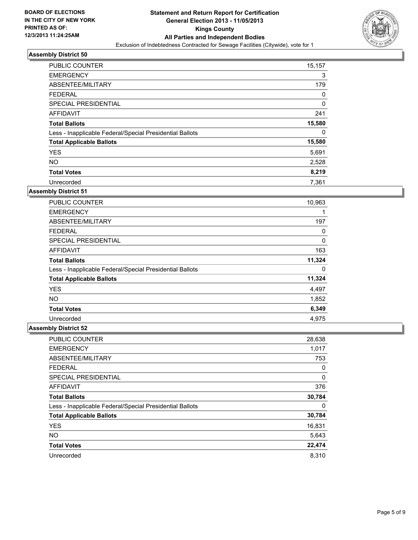

| <b>PUBLIC COUNTER</b>                                    | 15,157 |
|----------------------------------------------------------|--------|
| <b>EMERGENCY</b>                                         | 3      |
| ABSENTEE/MILITARY                                        | 179    |
| <b>FEDERAL</b>                                           | 0      |
| SPECIAL PRESIDENTIAL                                     | 0      |
| AFFIDAVIT                                                | 241    |
| <b>Total Ballots</b>                                     | 15,580 |
| Less - Inapplicable Federal/Special Presidential Ballots | 0      |
| <b>Total Applicable Ballots</b>                          | 15,580 |
| <b>YES</b>                                               | 5,691  |
| <b>NO</b>                                                | 2,528  |
| <b>Total Votes</b>                                       | 8,219  |
| Unrecorded                                               | 7,361  |

### **Assembly District 51**

| PUBLIC COUNTER                                           | 10,963 |
|----------------------------------------------------------|--------|
| <b>EMERGENCY</b>                                         |        |
| ABSENTEE/MILITARY                                        | 197    |
| <b>FEDERAL</b>                                           | 0      |
| SPECIAL PRESIDENTIAL                                     | 0      |
| AFFIDAVIT                                                | 163    |
| <b>Total Ballots</b>                                     | 11,324 |
| Less - Inapplicable Federal/Special Presidential Ballots | 0      |
| <b>Total Applicable Ballots</b>                          | 11,324 |
| <b>YES</b>                                               | 4,497  |
| <b>NO</b>                                                | 1,852  |
| <b>Total Votes</b>                                       | 6,349  |
| Unrecorded                                               | 4,975  |

| <b>PUBLIC COUNTER</b>                                    | 28,638 |
|----------------------------------------------------------|--------|
| <b>EMERGENCY</b>                                         | 1,017  |
| ABSENTEE/MILITARY                                        | 753    |
| <b>FEDERAL</b>                                           | 0      |
| SPECIAL PRESIDENTIAL                                     | 0      |
| <b>AFFIDAVIT</b>                                         | 376    |
| <b>Total Ballots</b>                                     | 30,784 |
| Less - Inapplicable Federal/Special Presidential Ballots | 0      |
| <b>Total Applicable Ballots</b>                          | 30,784 |
| <b>YES</b>                                               | 16,831 |
| <b>NO</b>                                                | 5,643  |
| <b>Total Votes</b>                                       | 22,474 |
| Unrecorded                                               | 8,310  |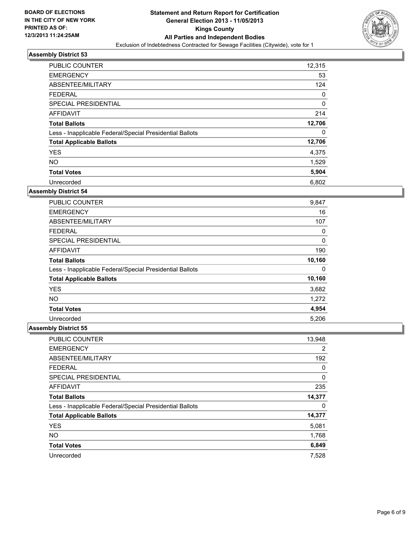

| <b>PUBLIC COUNTER</b>                                    | 12,315      |
|----------------------------------------------------------|-------------|
| <b>EMERGENCY</b>                                         | 53          |
| ABSENTEE/MILITARY                                        | 124         |
| <b>FEDERAL</b>                                           | 0           |
| SPECIAL PRESIDENTIAL                                     | $\mathbf 0$ |
| AFFIDAVIT                                                | 214         |
| <b>Total Ballots</b>                                     | 12,706      |
| Less - Inapplicable Federal/Special Presidential Ballots | 0           |
| <b>Total Applicable Ballots</b>                          | 12,706      |
| <b>YES</b>                                               | 4,375       |
| <b>NO</b>                                                | 1,529       |
| <b>Total Votes</b>                                       | 5,904       |
| Unrecorded                                               | 6,802       |

### **Assembly District 54**

| <b>PUBLIC COUNTER</b>                                    | 9,847  |
|----------------------------------------------------------|--------|
| <b>EMERGENCY</b>                                         | 16     |
| ABSENTEE/MILITARY                                        | 107    |
| <b>FEDERAL</b>                                           | 0      |
| <b>SPECIAL PRESIDENTIAL</b>                              | 0      |
| AFFIDAVIT                                                | 190    |
| <b>Total Ballots</b>                                     | 10,160 |
| Less - Inapplicable Federal/Special Presidential Ballots | 0      |
| <b>Total Applicable Ballots</b>                          | 10,160 |
| <b>YES</b>                                               | 3,682  |
| <b>NO</b>                                                | 1,272  |
| <b>Total Votes</b>                                       | 4,954  |
| Unrecorded                                               | 5,206  |

| PUBLIC COUNTER                                           | 13,948         |
|----------------------------------------------------------|----------------|
| <b>EMERGENCY</b>                                         | $\overline{2}$ |
| ABSENTEE/MILITARY                                        | 192            |
| <b>FEDERAL</b>                                           | 0              |
| SPECIAL PRESIDENTIAL                                     | 0              |
| <b>AFFIDAVIT</b>                                         | 235            |
| <b>Total Ballots</b>                                     | 14,377         |
| Less - Inapplicable Federal/Special Presidential Ballots | 0              |
| <b>Total Applicable Ballots</b>                          | 14,377         |
| <b>YES</b>                                               | 5,081          |
| <b>NO</b>                                                | 1,768          |
| <b>Total Votes</b>                                       | 6,849          |
| Unrecorded                                               | 7,528          |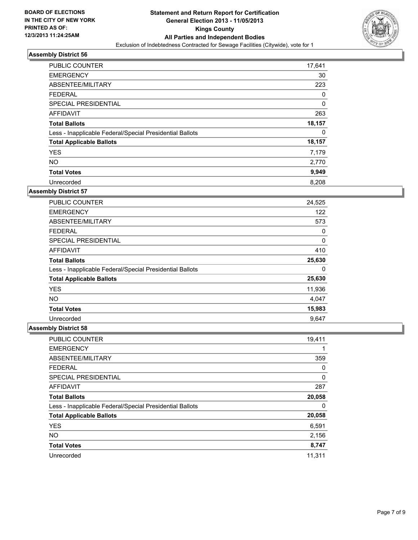

| <b>PUBLIC COUNTER</b>                                    | 17,641      |
|----------------------------------------------------------|-------------|
| <b>EMERGENCY</b>                                         | 30          |
| ABSENTEE/MILITARY                                        | 223         |
| <b>FEDERAL</b>                                           | 0           |
| SPECIAL PRESIDENTIAL                                     | $\mathbf 0$ |
| <b>AFFIDAVIT</b>                                         | 263         |
| <b>Total Ballots</b>                                     | 18,157      |
| Less - Inapplicable Federal/Special Presidential Ballots | 0           |
| <b>Total Applicable Ballots</b>                          | 18,157      |
| <b>YES</b>                                               | 7,179       |
| <b>NO</b>                                                | 2,770       |
| <b>Total Votes</b>                                       | 9,949       |
| Unrecorded                                               | 8,208       |

### **Assembly District 57**

| PUBLIC COUNTER                                           | 24,525 |
|----------------------------------------------------------|--------|
| <b>EMERGENCY</b>                                         | 122    |
| ABSENTEE/MILITARY                                        | 573    |
| <b>FEDERAL</b>                                           | 0      |
| SPECIAL PRESIDENTIAL                                     | 0      |
| AFFIDAVIT                                                | 410    |
| <b>Total Ballots</b>                                     | 25,630 |
| Less - Inapplicable Federal/Special Presidential Ballots | 0      |
| <b>Total Applicable Ballots</b>                          | 25,630 |
| <b>YES</b>                                               | 11,936 |
| <b>NO</b>                                                | 4,047  |
| <b>Total Votes</b>                                       | 15,983 |
| Unrecorded                                               | 9,647  |

| PUBLIC COUNTER                                           | 19,411 |
|----------------------------------------------------------|--------|
| <b>EMERGENCY</b>                                         |        |
| ABSENTEE/MILITARY                                        | 359    |
| <b>FEDERAL</b>                                           | 0      |
| SPECIAL PRESIDENTIAL                                     | 0      |
| <b>AFFIDAVIT</b>                                         | 287    |
| <b>Total Ballots</b>                                     | 20,058 |
| Less - Inapplicable Federal/Special Presidential Ballots | 0      |
| <b>Total Applicable Ballots</b>                          | 20,058 |
| <b>YES</b>                                               | 6,591  |
| <b>NO</b>                                                | 2,156  |
| <b>Total Votes</b>                                       | 8,747  |
| Unrecorded                                               | 11.311 |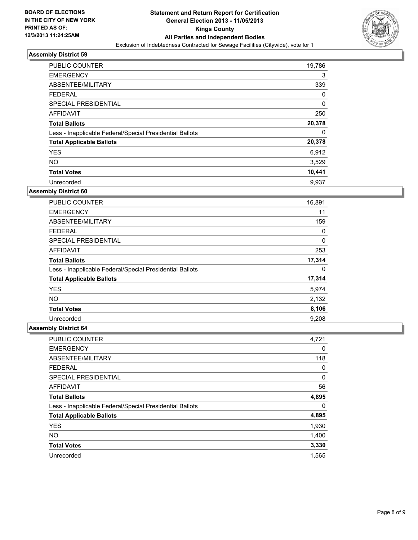

| <b>PUBLIC COUNTER</b>                                    | 19,786      |
|----------------------------------------------------------|-------------|
| <b>EMERGENCY</b>                                         | 3           |
| ABSENTEE/MILITARY                                        | 339         |
| <b>FEDERAL</b>                                           | 0           |
| SPECIAL PRESIDENTIAL                                     | $\mathbf 0$ |
| AFFIDAVIT                                                | 250         |
| <b>Total Ballots</b>                                     | 20,378      |
| Less - Inapplicable Federal/Special Presidential Ballots | 0           |
| <b>Total Applicable Ballots</b>                          | 20,378      |
| <b>YES</b>                                               | 6,912       |
| <b>NO</b>                                                | 3,529       |
| <b>Total Votes</b>                                       | 10,441      |
| Unrecorded                                               | 9,937       |

### **Assembly District 60**

| PUBLIC COUNTER                                           | 16,891 |
|----------------------------------------------------------|--------|
| <b>EMERGENCY</b>                                         | 11     |
| ABSENTEE/MILITARY                                        | 159    |
| <b>FEDERAL</b>                                           | 0      |
| SPECIAL PRESIDENTIAL                                     | 0      |
| AFFIDAVIT                                                | 253    |
| <b>Total Ballots</b>                                     | 17,314 |
| Less - Inapplicable Federal/Special Presidential Ballots | 0      |
| <b>Total Applicable Ballots</b>                          | 17,314 |
| <b>YES</b>                                               | 5,974  |
| NO.                                                      | 2,132  |
| <b>Total Votes</b>                                       | 8,106  |
| Unrecorded                                               | 9,208  |

| <b>PUBLIC COUNTER</b>                                    | 4,721 |
|----------------------------------------------------------|-------|
| <b>EMERGENCY</b>                                         | 0     |
| ABSENTEE/MILITARY                                        | 118   |
| <b>FEDERAL</b>                                           | 0     |
| SPECIAL PRESIDENTIAL                                     | 0     |
| <b>AFFIDAVIT</b>                                         | 56    |
| <b>Total Ballots</b>                                     | 4,895 |
| Less - Inapplicable Federal/Special Presidential Ballots | 0     |
| <b>Total Applicable Ballots</b>                          | 4,895 |
| <b>YES</b>                                               | 1,930 |
| <b>NO</b>                                                | 1,400 |
| <b>Total Votes</b>                                       | 3,330 |
| Unrecorded                                               | 1,565 |